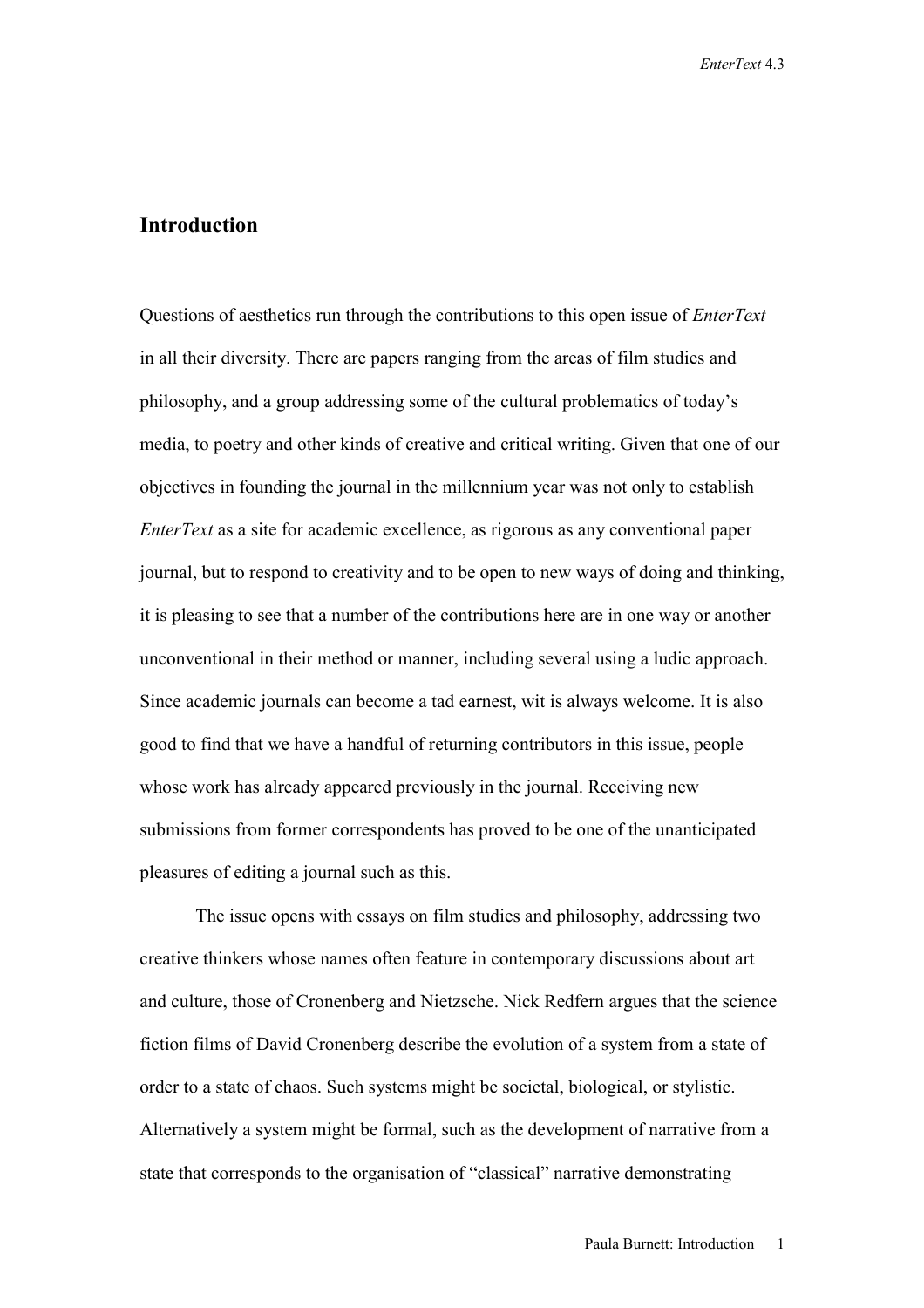## **Introduction**

Questions of aesthetics run through the contributions to this open issue of *EnterText*  in all their diversity. There are papers ranging from the areas of film studies and philosophy, and a group addressing some of the cultural problematics of today's media, to poetry and other kinds of creative and critical writing. Given that one of our objectives in founding the journal in the millennium year was not only to establish *EnterText* as a site for academic excellence, as rigorous as any conventional paper journal, but to respond to creativity and to be open to new ways of doing and thinking, it is pleasing to see that a number of the contributions here are in one way or another unconventional in their method or manner, including several using a ludic approach. Since academic journals can become a tad earnest, wit is always welcome. It is also good to find that we have a handful of returning contributors in this issue, people whose work has already appeared previously in the journal. Receiving new submissions from former correspondents has proved to be one of the unanticipated pleasures of editing a journal such as this.

 The issue opens with essays on film studies and philosophy, addressing two creative thinkers whose names often feature in contemporary discussions about art and culture, those of Cronenberg and Nietzsche. Nick Redfern argues that the science fiction films of David Cronenberg describe the evolution of a system from a state of order to a state of chaos. Such systems might be societal, biological, or stylistic. Alternatively a system might be formal, such as the development of narrative from a state that corresponds to the organisation of "classical" narrative demonstrating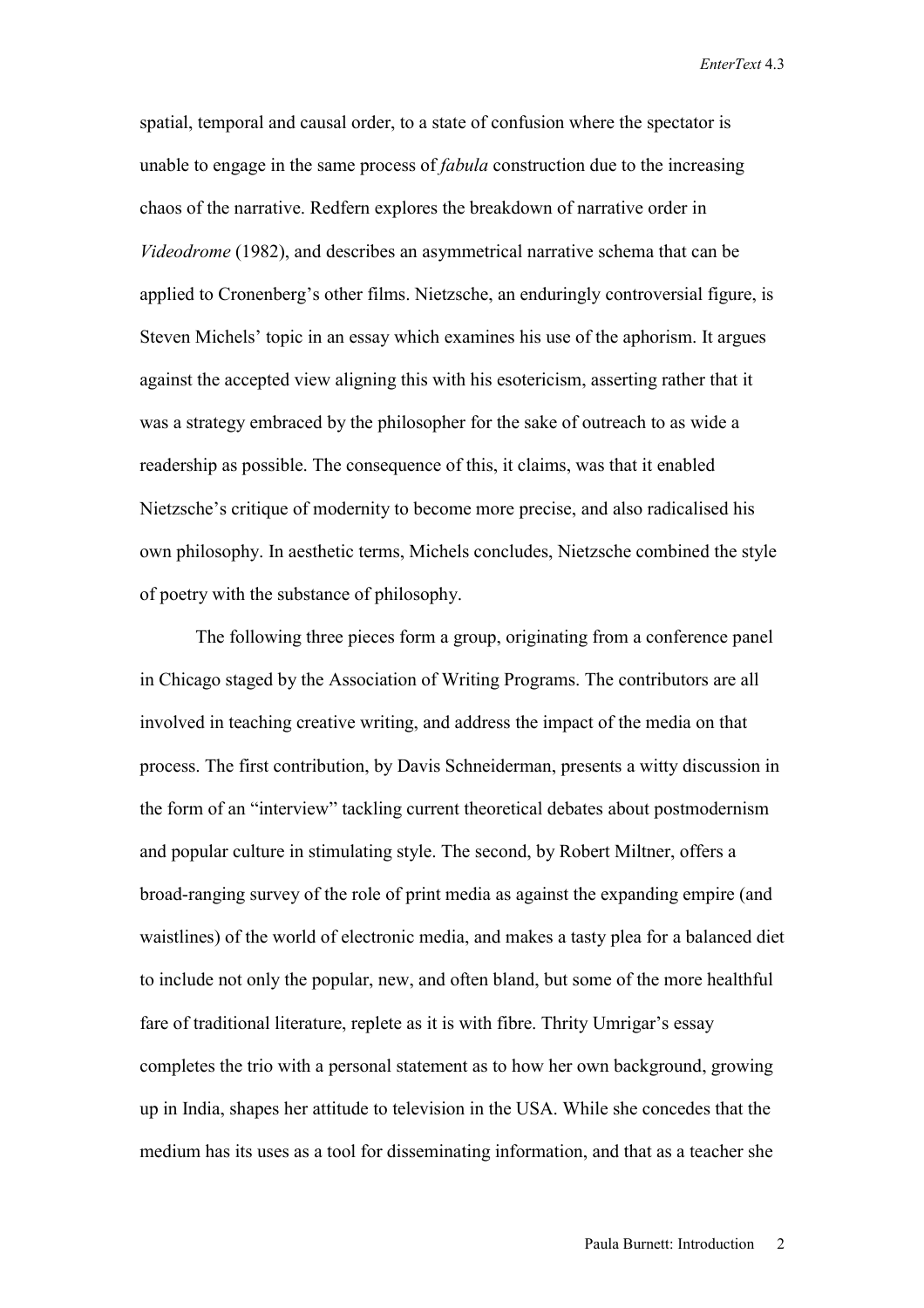*EnterText* 4.3

spatial, temporal and causal order, to a state of confusion where the spectator is unable to engage in the same process of *fabula* construction due to the increasing chaos of the narrative. Redfern explores the breakdown of narrative order in *Videodrome* (1982), and describes an asymmetrical narrative schema that can be applied to Cronenberg's other films. Nietzsche, an enduringly controversial figure, is Steven Michels' topic in an essay which examines his use of the aphorism. It argues against the accepted view aligning this with his esotericism, asserting rather that it was a strategy embraced by the philosopher for the sake of outreach to as wide a readership as possible. The consequence of this, it claims, was that it enabled Nietzsche's critique of modernity to become more precise, and also radicalised his own philosophy. In aesthetic terms, Michels concludes, Nietzsche combined the style of poetry with the substance of philosophy.

 The following three pieces form a group, originating from a conference panel in Chicago staged by the Association of Writing Programs. The contributors are all involved in teaching creative writing, and address the impact of the media on that process. The first contribution, by Davis Schneiderman, presents a witty discussion in the form of an "interview" tackling current theoretical debates about postmodernism and popular culture in stimulating style. The second, by Robert Miltner, offers a broad-ranging survey of the role of print media as against the expanding empire (and waistlines) of the world of electronic media, and makes a tasty plea for a balanced diet to include not only the popular, new, and often bland, but some of the more healthful fare of traditional literature, replete as it is with fibre. Thrity Umrigar's essay completes the trio with a personal statement as to how her own background, growing up in India, shapes her attitude to television in the USA. While she concedes that the medium has its uses as a tool for disseminating information, and that as a teacher she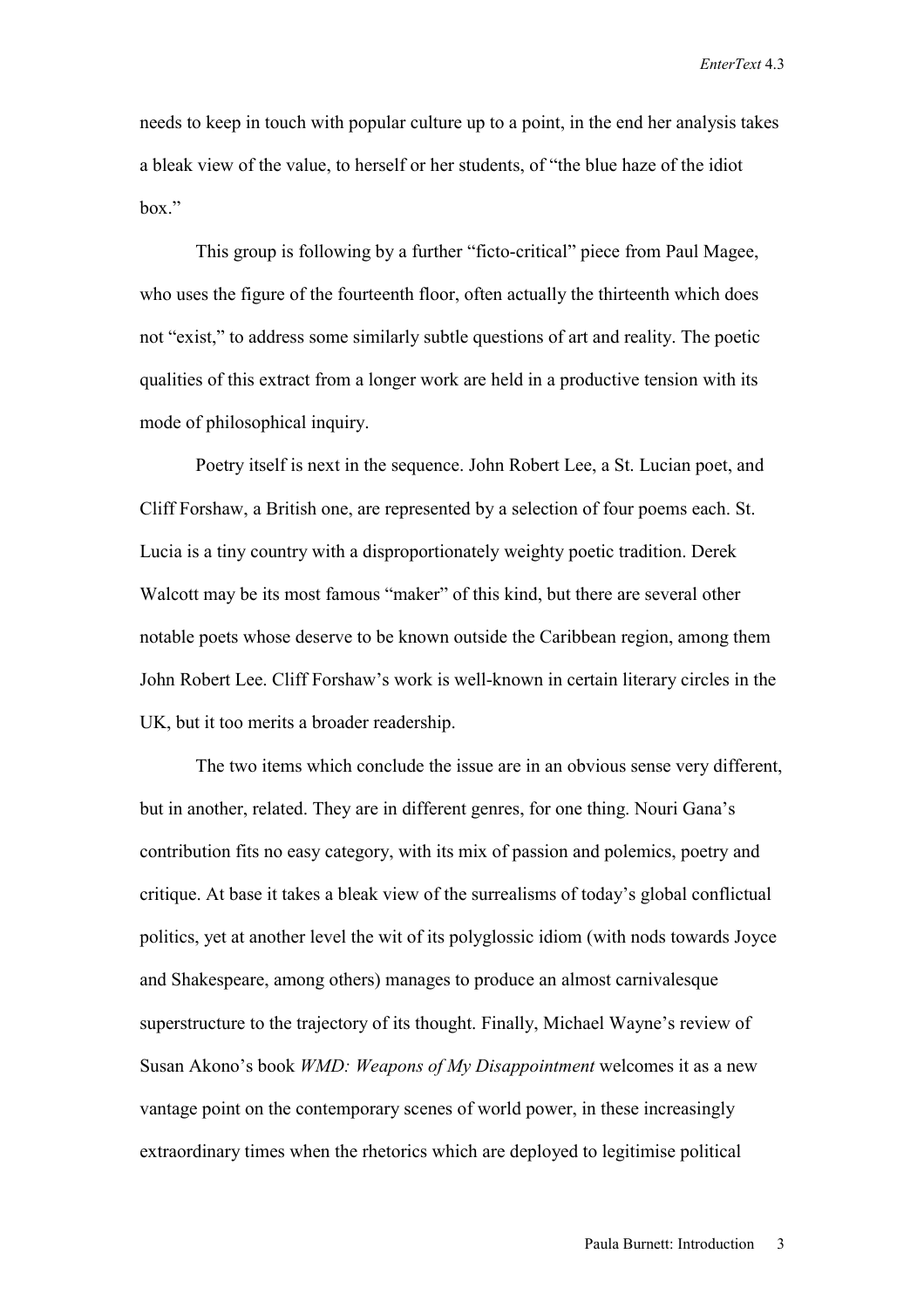*EnterText* 4.3

needs to keep in touch with popular culture up to a point, in the end her analysis takes a bleak view of the value, to herself or her students, of "the blue haze of the idiot hox"

 This group is following by a further "ficto-critical" piece from Paul Magee, who uses the figure of the fourteenth floor, often actually the thirteenth which does not "exist," to address some similarly subtle questions of art and reality. The poetic qualities of this extract from a longer work are held in a productive tension with its mode of philosophical inquiry.

Poetry itself is next in the sequence. John Robert Lee, a St. Lucian poet, and Cliff Forshaw, a British one, are represented by a selection of four poems each. St. Lucia is a tiny country with a disproportionately weighty poetic tradition. Derek Walcott may be its most famous "maker" of this kind, but there are several other notable poets whose deserve to be known outside the Caribbean region, among them John Robert Lee. Cliff Forshaw's work is well-known in certain literary circles in the UK, but it too merits a broader readership.

The two items which conclude the issue are in an obvious sense very different, but in another, related. They are in different genres, for one thing. Nouri Gana's contribution fits no easy category, with its mix of passion and polemics, poetry and critique. At base it takes a bleak view of the surrealisms of today's global conflictual politics, yet at another level the wit of its polyglossic idiom (with nods towards Joyce and Shakespeare, among others) manages to produce an almost carnivalesque superstructure to the trajectory of its thought. Finally, Michael Wayne's review of Susan Akono's book *WMD: Weapons of My Disappointment* welcomes it as a new vantage point on the contemporary scenes of world power, in these increasingly extraordinary times when the rhetorics which are deployed to legitimise political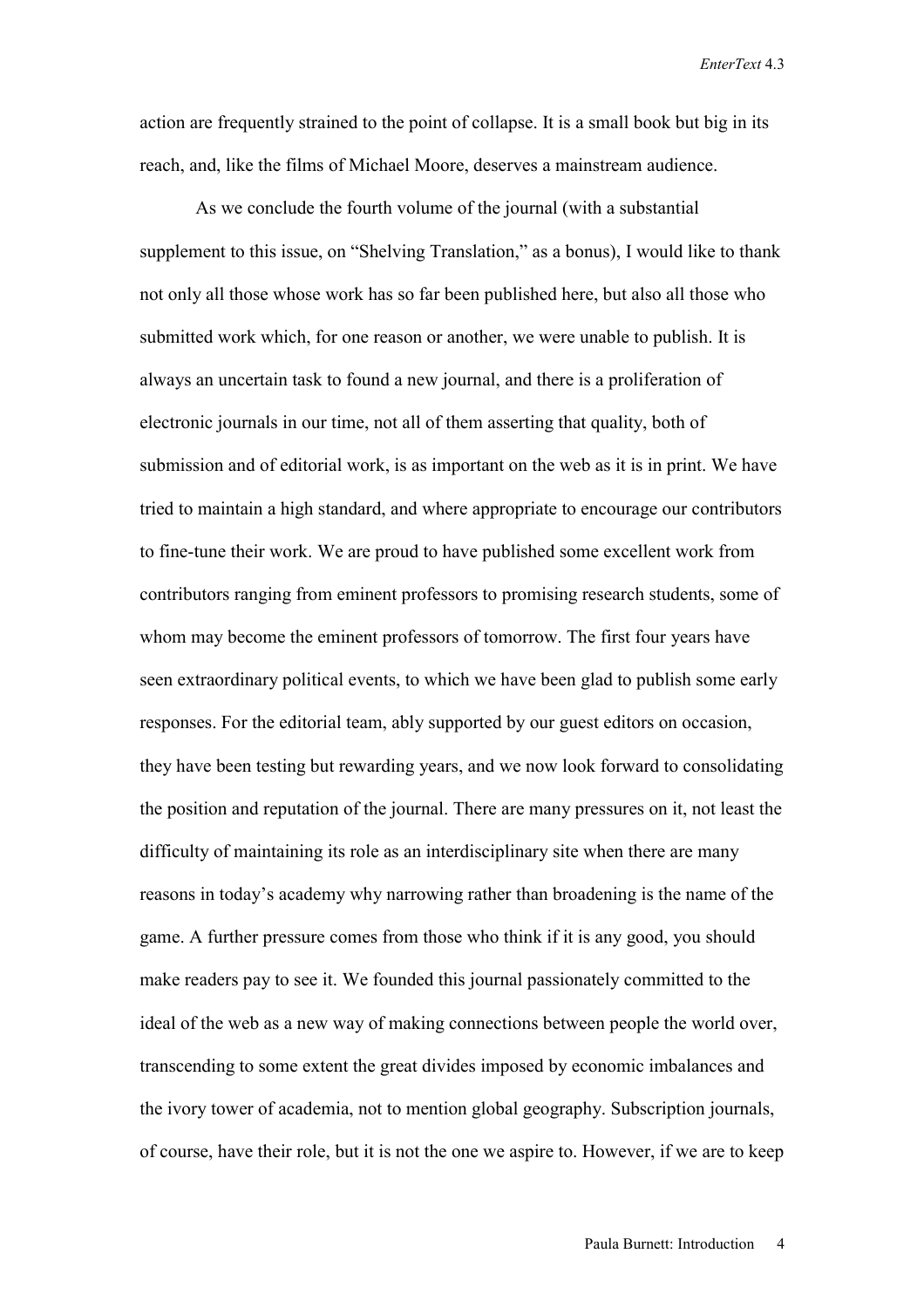*EnterText* 4.3

action are frequently strained to the point of collapse. It is a small book but big in its reach, and, like the films of Michael Moore, deserves a mainstream audience.

As we conclude the fourth volume of the journal (with a substantial supplement to this issue, on "Shelving Translation," as a bonus), I would like to thank not only all those whose work has so far been published here, but also all those who submitted work which, for one reason or another, we were unable to publish. It is always an uncertain task to found a new journal, and there is a proliferation of electronic journals in our time, not all of them asserting that quality, both of submission and of editorial work, is as important on the web as it is in print. We have tried to maintain a high standard, and where appropriate to encourage our contributors to fine-tune their work. We are proud to have published some excellent work from contributors ranging from eminent professors to promising research students, some of whom may become the eminent professors of tomorrow. The first four years have seen extraordinary political events, to which we have been glad to publish some early responses. For the editorial team, ably supported by our guest editors on occasion, they have been testing but rewarding years, and we now look forward to consolidating the position and reputation of the journal. There are many pressures on it, not least the difficulty of maintaining its role as an interdisciplinary site when there are many reasons in today's academy why narrowing rather than broadening is the name of the game. A further pressure comes from those who think if it is any good, you should make readers pay to see it. We founded this journal passionately committed to the ideal of the web as a new way of making connections between people the world over, transcending to some extent the great divides imposed by economic imbalances and the ivory tower of academia, not to mention global geography. Subscription journals, of course, have their role, but it is not the one we aspire to. However, if we are to keep